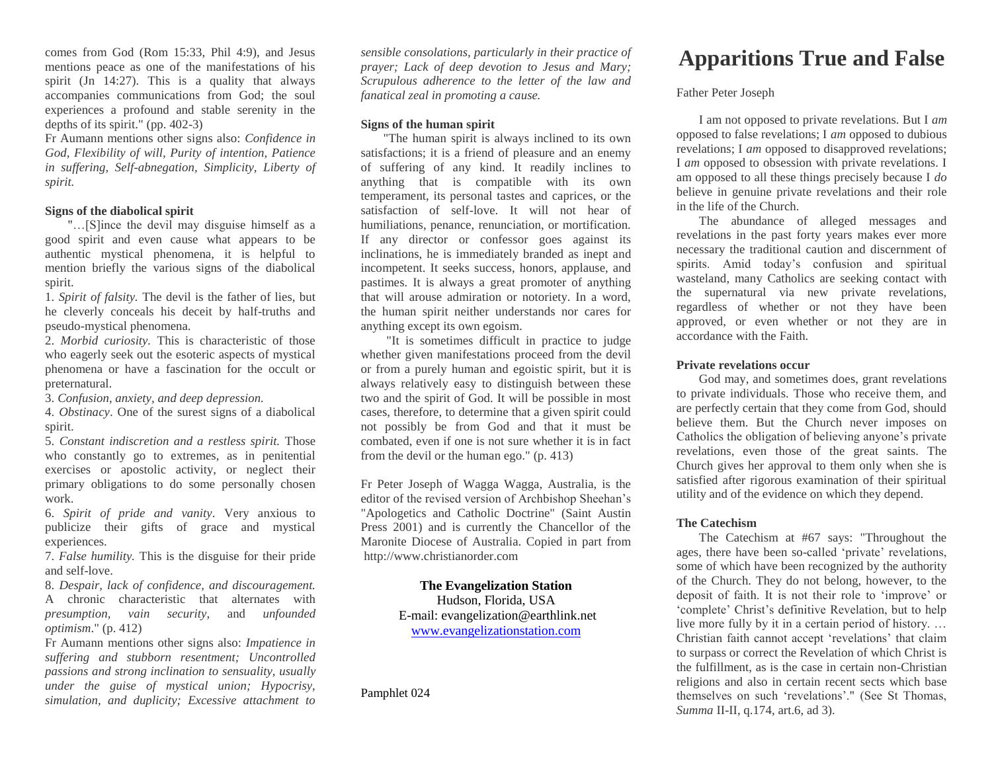comes from God (Rom 15:33, Phil 4:9), and Jesus mentions peace as one of the manifestations of his spirit  $(In 14:27)$ . This is a quality that always accompanies communications from God; the soul experiences a profound and stable serenity in the depths of its spirit." (pp. 402-3)

Fr Aumann mentions other signs also: *Confidence in God, Flexibility of will, Purity of intention, Patience in suffering, Self-abnegation, Simplicity, Liberty of spirit.*

#### **Signs of the diabolical spirit**

"…[S]ince the devil may disguise himself as a good spirit and even cause what appears to be authentic mystical phenomena, it is helpful to mention briefly the various signs of the diabolical spirit.

1. *Spirit of falsity.* The devil is the father of lies, but he cleverly conceals his deceit by half-truths and pseudo-mystical phenomena.

2. *Morbid curiosity.* This is characteristic of those who eagerly seek out the esoteric aspects of mystical phenomena or have a fascination for the occult or preternatural.

3. *Confusion, anxiety, and deep depression.*

4. *Obstinacy*. One of the surest signs of a diabolical spirit.

5. *Constant indiscretion and a restless spirit.* Those who constantly go to extremes, as in penitential exercises or apostolic activity, or neglect their primary obligations to do some personally chosen work.

6. *Spirit of pride and vanity*. Very anxious to publicize their gifts of grace and mystical experiences.

7. *False humility.* This is the disguise for their pride and self-love.

8. *Despair, lack of confidence, and discouragement.*  A chronic characteristic that alternates with *presumption, vain security,* and *unfounded optimism*." (p. 412)

Fr Aumann mentions other signs also: *Impatience in suffering and stubborn resentment; Uncontrolled passions and strong inclination to sensuality, usually under the guise of mystical union; Hypocrisy, simulation, and duplicity; Excessive attachment to* 

*sensible consolations, particularly in their practice of prayer; Lack of deep devotion to Jesus and Mary; Scrupulous adherence to the letter of the law and fanatical zeal in promoting a cause.*

#### **Signs of the human spirit**

"The human spirit is always inclined to its own satisfactions; it is a friend of pleasure and an enemy of suffering of any kind. It readily inclines to anything that is compatible with its own temperament, its personal tastes and caprices, or the satisfaction of self-love. It will not hear of humiliations, penance, renunciation, or mortification. If any director or confessor goes against its inclinations, he is immediately branded as inept and incompetent. It seeks success, honors, applause, and pastimes. It is always a great promoter of anything that will arouse admiration or notoriety. In a word, the human spirit neither understands nor cares for anything except its own egoism.

"It is sometimes difficult in practice to judge whether given manifestations proceed from the devil or from a purely human and egoistic spirit, but it is always relatively easy to distinguish between these two and the spirit of God. It will be possible in most cases, therefore, to determine that a given spirit could not possibly be from God and that it must be combated, even if one is not sure whether it is in fact from the devil or the human ego." (p. 413)

Fr Peter Joseph of Wagga Wagga, Australia, is the editor of the revised version of Archbishop Sheehan's "Apologetics and Catholic Doctrine" (Saint Austin Press 2001) and is currently the Chancellor of the Maronite Diocese of Australia. Copied in part from http://www.christianorder.com

# **The Evangelization Station**

Hudson, Florida, USA E-mail: evangelization@earthlink.net [www.evangelizationstation.com](http://www.pjpiisoe.org/)

Pamphlet 024

# **Apparitions True and False**

Father Peter Joseph

I am not opposed to private revelations. But I *am* opposed to false revelations; I *am* opposed to dubious revelations; I *am* opposed to disapproved revelations; I *am* opposed to obsession with private revelations. I am opposed to all these things precisely because I *do* believe in genuine private revelations and their role in the life of the Church.

The abundance of alleged messages and revelations in the past forty years makes ever more necessary the traditional caution and discernment of spirits. Amid today's confusion and spiritual wasteland, many Catholics are seeking contact with the supernatural via new private revelations, regardless of whether or not they have been approved, or even whether or not they are in accordance with the Faith.

# **Private revelations occur**

God may, and sometimes does, grant revelations to private individuals. Those who receive them, and are perfectly certain that they come from God, should believe them. But the Church never imposes on Catholics the obligation of believing anyone's private revelations, even those of the great saints. The Church gives her approval to them only when she is satisfied after rigorous examination of their spiritual utility and of the evidence on which they depend.

# **The Catechism**

The Catechism at #67 says: "Throughout the ages, there have been so-called 'private' revelations, some of which have been recognized by the authority of the Church. They do not belong, however, to the deposit of faith. It is not their role to 'improve' or 'complete' Christ's definitive Revelation, but to help live more fully by it in a certain period of history. … Christian faith cannot accept 'revelations' that claim to surpass or correct the Revelation of which Christ is the fulfillment, as is the case in certain non-Christian religions and also in certain recent sects which base themselves on such 'revelations'." (See St Thomas, *Summa* II-II, q.174, art.6, ad 3).